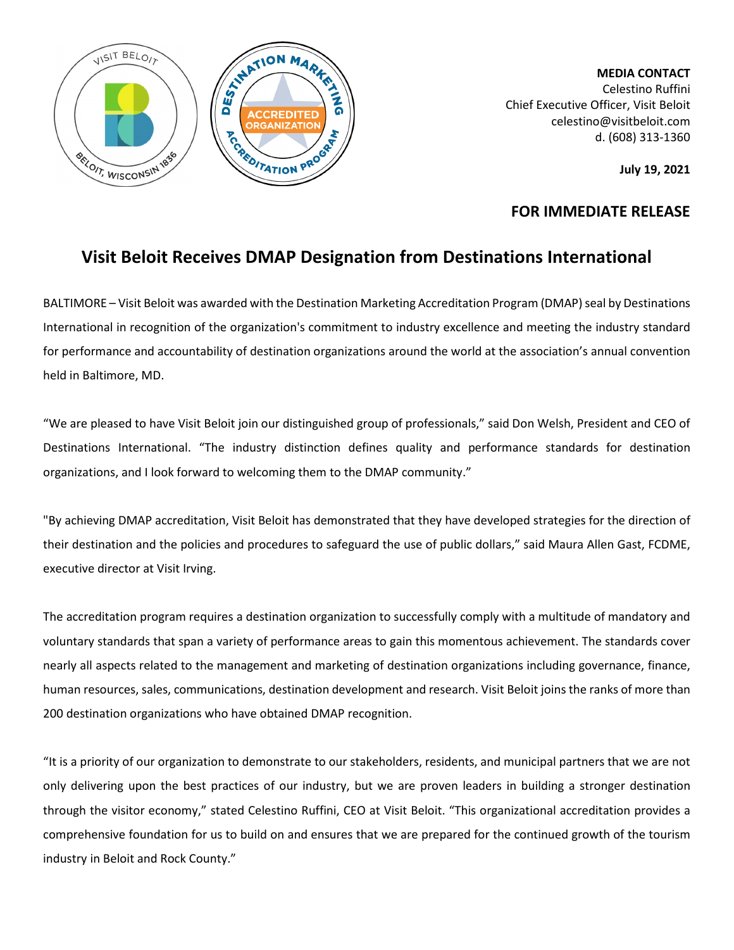

**MEDIA CONTACT** Celestino Ruffini Chief Executive Officer, Visit Beloit celestino@visitbeloit.com d. (608) 313-1360

**July 19, 2021**

## **FOR IMMEDIATE RELEASE**

## **Visit Beloit Receives DMAP Designation from Destinations International**

BALTIMORE – Visit Beloit was awarded with the Destination Marketing Accreditation Program (DMAP) seal by Destinations International in recognition of the organization's commitment to industry excellence and meeting the industry standard for performance and accountability of destination organizations around the world at the association's annual convention held in Baltimore, MD.

"We are pleased to have Visit Beloit join our distinguished group of professionals," said Don Welsh, President and CEO of Destinations International. "The industry distinction defines quality and performance standards for destination organizations, and I look forward to welcoming them to the DMAP community."

"By achieving DMAP accreditation, Visit Beloit has demonstrated that they have developed strategies for the direction of their destination and the policies and procedures to safeguard the use of public dollars," said Maura Allen Gast, FCDME, executive director at Visit Irving.

The accreditation program requires a destination organization to successfully comply with a multitude of mandatory and voluntary standards that span a variety of performance areas to gain this momentous achievement. The standards cover nearly all aspects related to the management and marketing of destination organizations including governance, finance, human resources, sales, communications, destination development and research. Visit Beloit joins the ranks of more than 200 destination organizations who have obtained DMAP recognition.

"It is a priority of our organization to demonstrate to our stakeholders, residents, and municipal partners that we are not only delivering upon the best practices of our industry, but we are proven leaders in building a stronger destination through the visitor economy," stated Celestino Ruffini, CEO at Visit Beloit. "This organizational accreditation provides a comprehensive foundation for us to build on and ensures that we are prepared for the continued growth of the tourism industry in Beloit and Rock County."